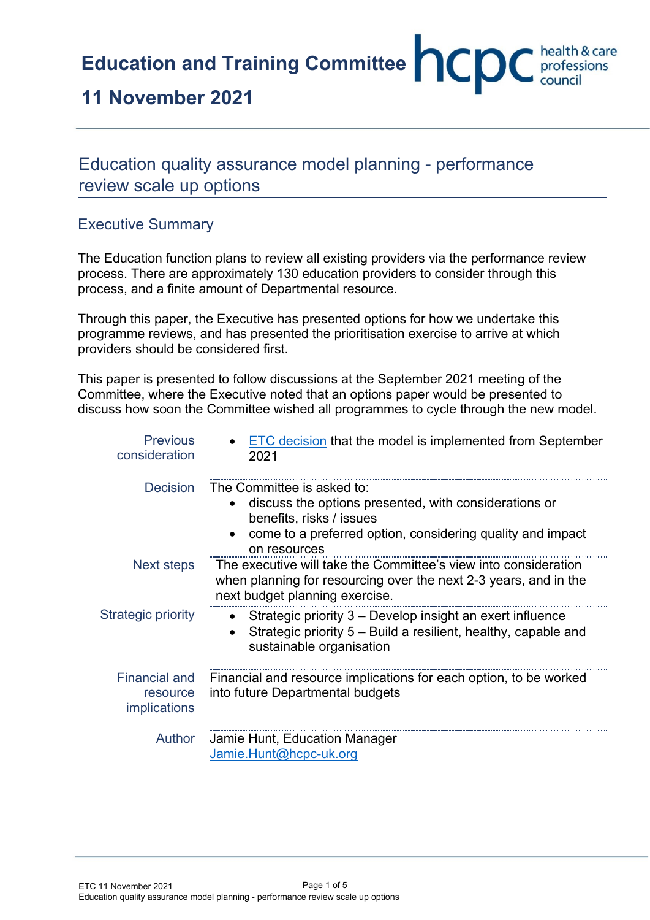**Education and Training Committee <b>CCC** health & care

# **11 November 2021**

# Education quality assurance model planning - performance review scale up options

## Executive Summary

The Education function plans to review all existing providers via the performance review process. There are approximately 130 education providers to consider through this process, and a finite amount of Departmental resource.

Through this paper, the Executive has presented options for how we undertake this programme reviews, and has presented the prioritisation exercise to arrive at which providers should be considered first.

This paper is presented to follow discussions at the September 2021 meeting of the Committee, where the Executive noted that an options paper would be presented to discuss how soon the Committee wished all programmes to cycle through the new model.

| <b>Previous</b><br>consideration                 | <b>ETC decision that the model is implemented from September</b><br>2021                                                                                                                      |  |  |  |
|--------------------------------------------------|-----------------------------------------------------------------------------------------------------------------------------------------------------------------------------------------------|--|--|--|
| <b>Decision</b>                                  | The Committee is asked to:<br>discuss the options presented, with considerations or<br>benefits, risks / issues<br>come to a preferred option, considering quality and impact<br>on resources |  |  |  |
| Next steps                                       | The executive will take the Committee's view into consideration<br>when planning for resourcing over the next 2-3 years, and in the<br>next budget planning exercise.                         |  |  |  |
| <b>Strategic priority</b>                        | Strategic priority 3 – Develop insight an exert influence<br>$\bullet$<br>Strategic priority 5 – Build a resilient, healthy, capable and<br>sustainable organisation                          |  |  |  |
| <b>Financial and</b><br>resource<br>implications | Financial and resource implications for each option, to be worked<br>into future Departmental budgets                                                                                         |  |  |  |
| <b>Author</b>                                    | Jamie Hunt, Education Manager<br>Jamie.Hunt@hcpc-uk.org                                                                                                                                       |  |  |  |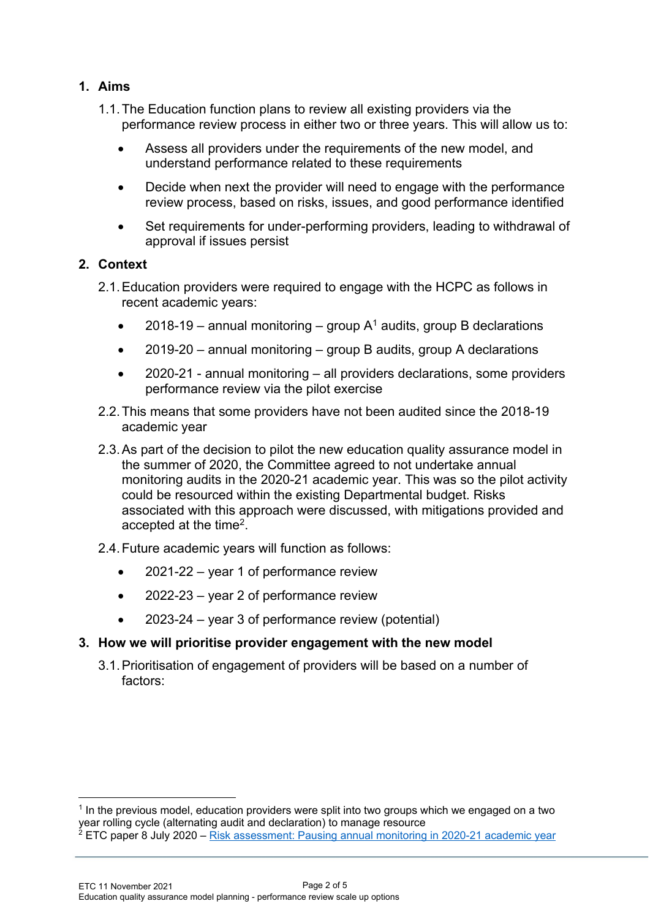### **1. Aims**

- 1.1.The Education function plans to review all existing providers via the performance review process in either two or three years. This will allow us to:
	- Assess all providers under the requirements of the new model, and understand performance related to these requirements
	- Decide when next the provider will need to engage with the performance review process, based on risks, issues, and good performance identified
	- Set requirements for under-performing providers, leading to withdrawal of approval if issues persist

#### **2. Context**

- 2.1.Education providers were required to engage with the HCPC as follows in recent academic years:
	- 2018-19 annual monitoring group  $A^1$  audits, group B declarations
	- $2019-20$  annual monitoring group B audits, group A declarations
	- 2020-21 annual monitoring all providers declarations, some providers performance review via the pilot exercise
- 2.2.This means that some providers have not been audited since the 2018-19 academic year
- 2.3.As part of the decision to pilot the new education quality assurance model in the summer of 2020, the Committee agreed to not undertake annual monitoring audits in the 2020-21 academic year. This was so the pilot activity could be resourced within the existing Departmental budget. Risks associated with this approach were discussed, with mitigations provided and accepted at the time<sup>2</sup>.

#### 2.4.Future academic years will function as follows:

- 2021-22 year 1 of performance review
- 2022-23 year 2 of performance review
- 2023-24 year 3 of performance review (potential)

#### **3. How we will prioritise provider engagement with the new model**

3.1.Prioritisation of engagement of providers will be based on a number of factors:

<sup>&</sup>lt;sup>1</sup> In the previous model, education providers were split into two groups which we engaged on a two year rolling cycle (alternating audit and declaration) to manage resource  $^2$  ETC paper 8 July 2020 – [Risk assessment: Pausing annual monitoring in 2020-21 academic year](https://www.hcpc-uk.org/globalassets/meetings-attachments3/education-and-training-committee/2020/5-08.07.2020/enc-03---risk-assessment-pausing-annual-monitoring-in-2020-21-academic-year.pdf)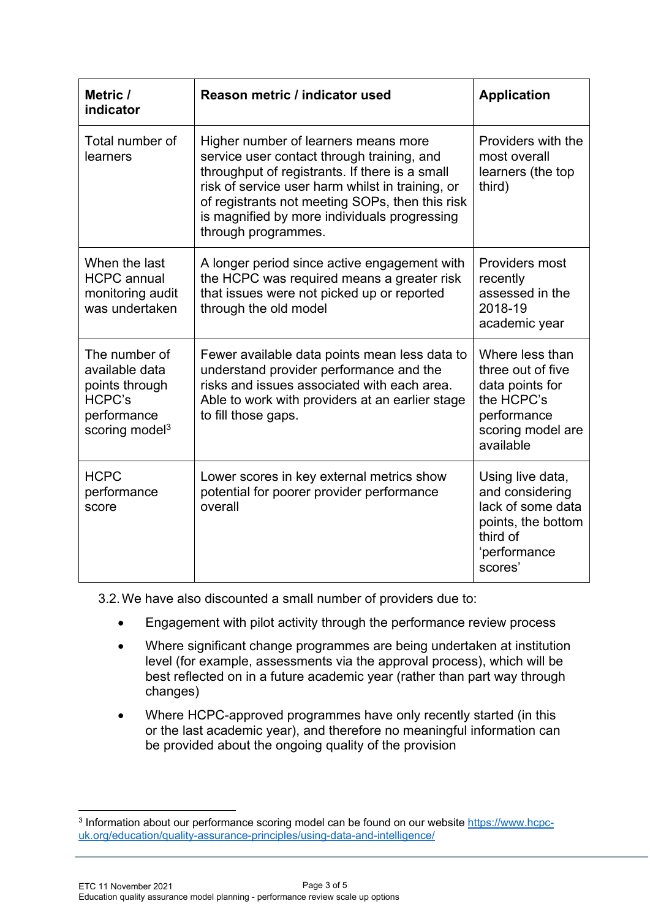| Metric /<br>indicator                                                                                           | Reason metric / indicator used                                                                                                                                                                                                                                                                                     | <b>Application</b>                                                                                                     |  |
|-----------------------------------------------------------------------------------------------------------------|--------------------------------------------------------------------------------------------------------------------------------------------------------------------------------------------------------------------------------------------------------------------------------------------------------------------|------------------------------------------------------------------------------------------------------------------------|--|
| Total number of<br>learners                                                                                     | Higher number of learners means more<br>service user contact through training, and<br>throughput of registrants. If there is a small<br>risk of service user harm whilst in training, or<br>of registrants not meeting SOPs, then this risk<br>is magnified by more individuals progressing<br>through programmes. | Providers with the<br>most overall<br>learners (the top<br>third)                                                      |  |
| When the last<br><b>HCPC</b> annual<br>monitoring audit<br>was undertaken                                       | A longer period since active engagement with<br>the HCPC was required means a greater risk<br>that issues were not picked up or reported<br>through the old model                                                                                                                                                  | Providers most<br>recently<br>assessed in the<br>2018-19<br>academic year                                              |  |
| The number of<br>available data<br>points through<br><b>HCPC's</b><br>performance<br>scoring model <sup>3</sup> | Fewer available data points mean less data to<br>understand provider performance and the<br>risks and issues associated with each area.<br>Able to work with providers at an earlier stage<br>to fill those gaps.                                                                                                  | Where less than<br>three out of five<br>data points for<br>the HCPC's<br>performance<br>scoring model are<br>available |  |
| <b>HCPC</b><br>performance<br>score                                                                             | Lower scores in key external metrics show<br>potential for poorer provider performance<br>overall                                                                                                                                                                                                                  | Using live data,<br>and considering<br>lack of some data<br>points, the bottom<br>third of<br>'performance<br>scores'  |  |

3.2.We have also discounted a small number of providers due to:

- Engagement with pilot activity through the performance review process
- Where significant change programmes are being undertaken at institution level (for example, assessments via the approval process), which will be best reflected on in a future academic year (rather than part way through changes)
- Where HCPC-approved programmes have only recently started (in this or the last academic year), and therefore no meaningful information can be provided about the ongoing quality of the provision

<sup>&</sup>lt;sup>3</sup> Information about our performance scoring model can be found on our website [https://www.hcpc](https://www.hcpc-uk.org/education/quality-assurance-principles/using-data-and-intelligence/)[uk.org/education/quality-assurance-principles/using-data-and-intelligence/](https://www.hcpc-uk.org/education/quality-assurance-principles/using-data-and-intelligence/)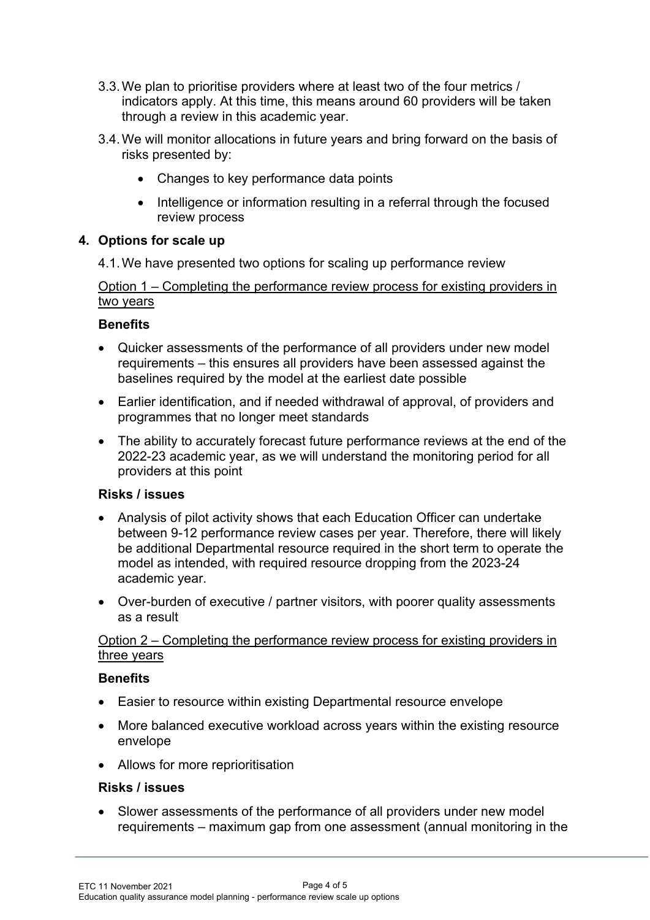- 3.3.We plan to prioritise providers where at least two of the four metrics / indicators apply. At this time, this means around 60 providers will be taken through a review in this academic year.
- 3.4.We will monitor allocations in future years and bring forward on the basis of risks presented by:
	- Changes to key performance data points
	- Intelligence or information resulting in a referral through the focused review process

#### **4. Options for scale up**

4.1.We have presented two options for scaling up performance review

#### Option 1 – Completing the performance review process for existing providers in two years

#### **Benefits**

- Quicker assessments of the performance of all providers under new model requirements – this ensures all providers have been assessed against the baselines required by the model at the earliest date possible
- Earlier identification, and if needed withdrawal of approval, of providers and programmes that no longer meet standards
- The ability to accurately forecast future performance reviews at the end of the 2022-23 academic year, as we will understand the monitoring period for all providers at this point

#### **Risks / issues**

- Analysis of pilot activity shows that each Education Officer can undertake between 9-12 performance review cases per year. Therefore, there will likely be additional Departmental resource required in the short term to operate the model as intended, with required resource dropping from the 2023-24 academic year.
- Over-burden of executive / partner visitors, with poorer quality assessments as a result

#### Option 2 – Completing the performance review process for existing providers in three years

#### **Benefits**

- Easier to resource within existing Departmental resource envelope
- More balanced executive workload across years within the existing resource envelope
- Allows for more reprioritisation

#### **Risks / issues**

• Slower assessments of the performance of all providers under new model requirements – maximum gap from one assessment (annual monitoring in the